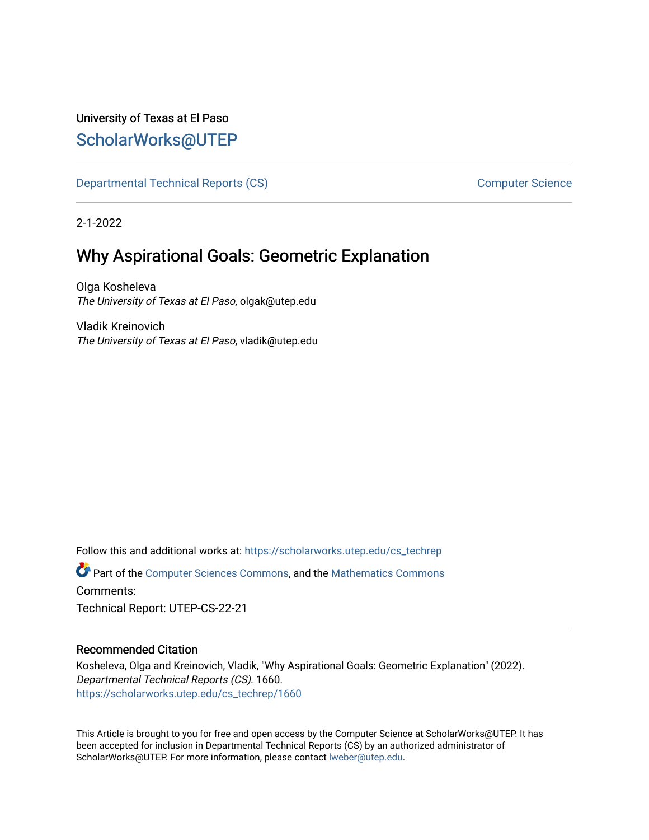## University of Texas at El Paso [ScholarWorks@UTEP](https://scholarworks.utep.edu/)

[Departmental Technical Reports \(CS\)](https://scholarworks.utep.edu/cs_techrep) and the computer Science Computer Science

2-1-2022

# Why Aspirational Goals: Geometric Explanation

Olga Kosheleva The University of Texas at El Paso, olgak@utep.edu

Vladik Kreinovich The University of Texas at El Paso, vladik@utep.edu

Follow this and additional works at: [https://scholarworks.utep.edu/cs\\_techrep](https://scholarworks.utep.edu/cs_techrep?utm_source=scholarworks.utep.edu%2Fcs_techrep%2F1660&utm_medium=PDF&utm_campaign=PDFCoverPages)  Part of the [Computer Sciences Commons](http://network.bepress.com/hgg/discipline/142?utm_source=scholarworks.utep.edu%2Fcs_techrep%2F1660&utm_medium=PDF&utm_campaign=PDFCoverPages), and the [Mathematics Commons](http://network.bepress.com/hgg/discipline/174?utm_source=scholarworks.utep.edu%2Fcs_techrep%2F1660&utm_medium=PDF&utm_campaign=PDFCoverPages) 

Comments:

Technical Report: UTEP-CS-22-21

#### Recommended Citation

Kosheleva, Olga and Kreinovich, Vladik, "Why Aspirational Goals: Geometric Explanation" (2022). Departmental Technical Reports (CS). 1660. [https://scholarworks.utep.edu/cs\\_techrep/1660](https://scholarworks.utep.edu/cs_techrep/1660?utm_source=scholarworks.utep.edu%2Fcs_techrep%2F1660&utm_medium=PDF&utm_campaign=PDFCoverPages) 

This Article is brought to you for free and open access by the Computer Science at ScholarWorks@UTEP. It has been accepted for inclusion in Departmental Technical Reports (CS) by an authorized administrator of ScholarWorks@UTEP. For more information, please contact [lweber@utep.edu](mailto:lweber@utep.edu).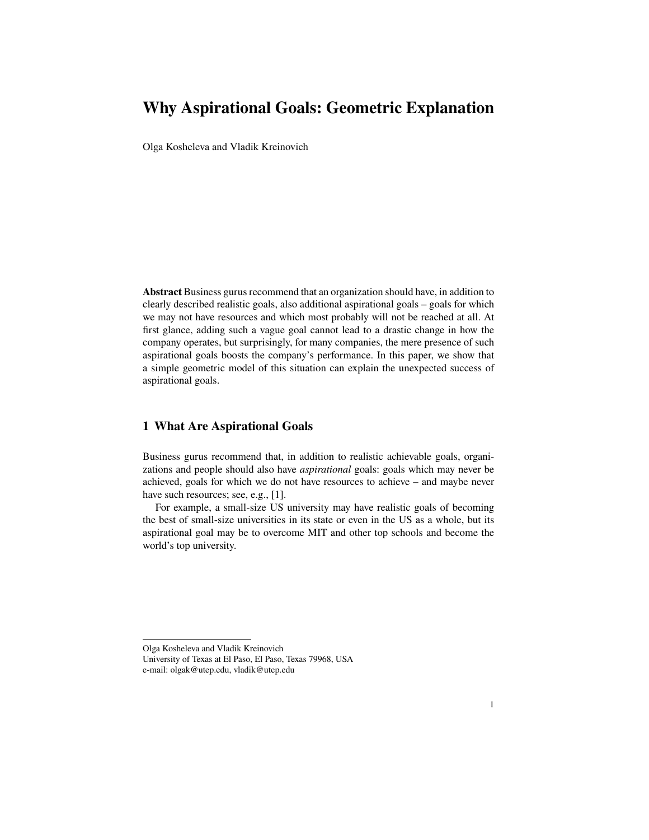## **Why Aspirational Goals: Geometric Explanation**

Olga Kosheleva and Vladik Kreinovich

**Abstract** Business gurus recommend that an organization should have, in addition to clearly described realistic goals, also additional aspirational goals – goals for which we may not have resources and which most probably will not be reached at all. At first glance, adding such a vague goal cannot lead to a drastic change in how the company operates, but surprisingly, for many companies, the mere presence of such aspirational goals boosts the company's performance. In this paper, we show that a simple geometric model of this situation can explain the unexpected success of aspirational goals.

#### **1 What Are Aspirational Goals**

Business gurus recommend that, in addition to realistic achievable goals, organizations and people should also have *aspirational* goals: goals which may never be achieved, goals for which we do not have resources to achieve – and maybe never have such resources; see, e.g., [1].

For example, a small-size US university may have realistic goals of becoming the best of small-size universities in its state or even in the US as a whole, but its aspirational goal may be to overcome MIT and other top schools and become the world's top university.

Olga Kosheleva and Vladik Kreinovich

University of Texas at El Paso, El Paso, Texas 79968, USA e-mail: olgak@utep.edu, vladik@utep.edu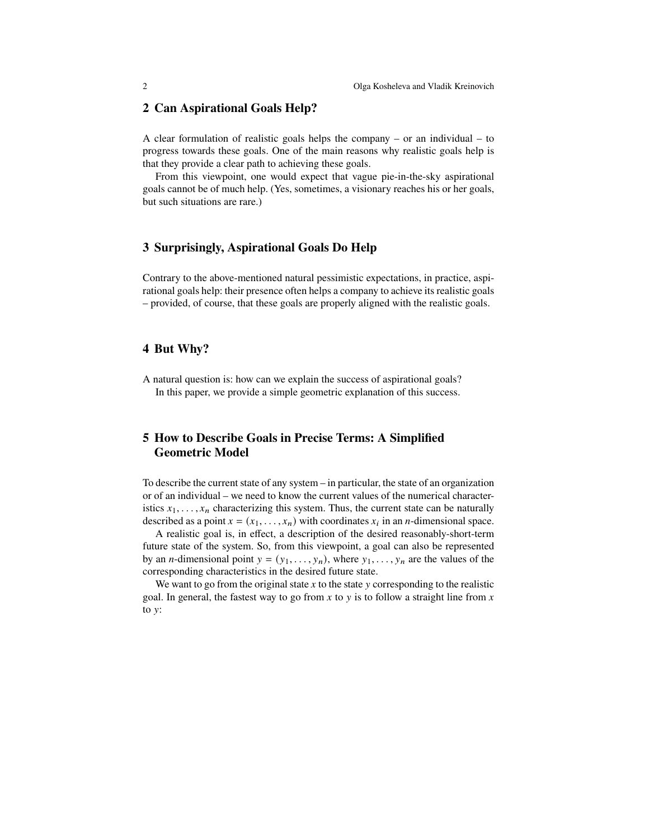#### **2 Can Aspirational Goals Help?**

A clear formulation of realistic goals helps the company – or an individual – to progress towards these goals. One of the main reasons why realistic goals help is that they provide a clear path to achieving these goals.

From this viewpoint, one would expect that vague pie-in-the-sky aspirational goals cannot be of much help. (Yes, sometimes, a visionary reaches his or her goals, but such situations are rare.)

#### **3 Surprisingly, Aspirational Goals Do Help**

Contrary to the above-mentioned natural pessimistic expectations, in practice, aspirational goals help: their presence often helps a company to achieve its realistic goals – provided, of course, that these goals are properly aligned with the realistic goals.

#### **4 But Why?**

A natural question is: how can we explain the success of aspirational goals? In this paper, we provide a simple geometric explanation of this success.

## **5 How to Describe Goals in Precise Terms: A Simplified Geometric Model**

To describe the current state of any system – in particular, the state of an organization or of an individual – we need to know the current values of the numerical characteristics  $x_1, \ldots, x_n$  characterizing this system. Thus, the current state can be naturally described as a point  $x = (x_1, \dots, x_n)$  with coordinates  $x_i$  in an *n*-dimensional space.

A realistic goal is, in effect, a description of the desired reasonably-short-term future state of the system. So, from this viewpoint, a goal can also be represented by an *n*-dimensional point  $y = (y_1, \ldots, y_n)$ , where  $y_1, \ldots, y_n$  are the values of the corresponding characteristics in the desired future state.

We want to go from the original state  $x$  to the state  $y$  corresponding to the realistic goal. In general, the fastest way to go from  $x$  to  $y$  is to follow a straight line from  $x$ to  $y$ :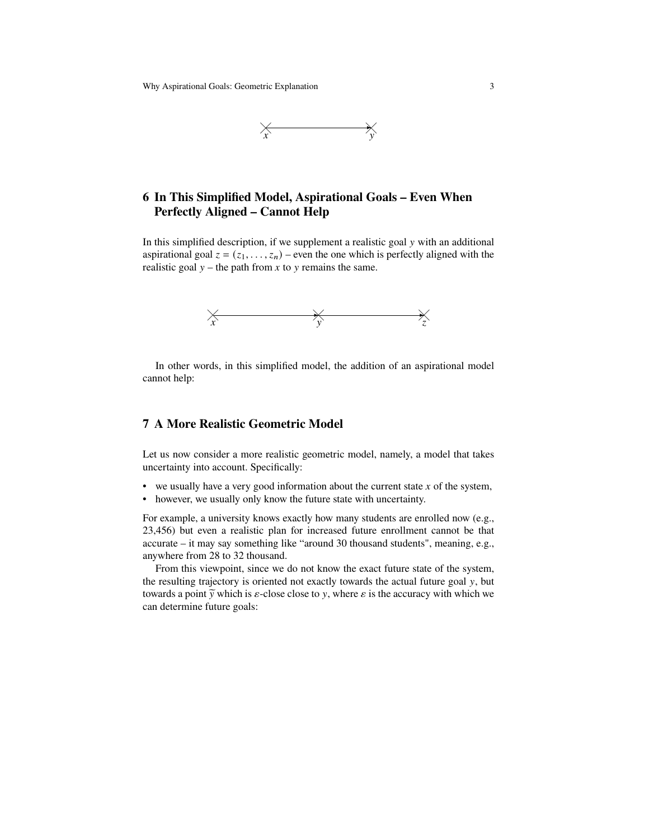Why Aspirational Goals: Geometric Explanation 3



### **6 In This Simplified Model, Aspirational Goals – Even When Perfectly Aligned – Cannot Help**

In this simplified description, if we supplement a realistic goal  $y$  with an additional aspirational goal  $z = (z_1, \ldots, z_n)$  – even the one which is perfectly aligned with the realistic goal  $y$  – the path from x to y remains the same.



In other words, in this simplified model, the addition of an aspirational model cannot help:

#### **7 A More Realistic Geometric Model**

Let us now consider a more realistic geometric model, namely, a model that takes uncertainty into account. Specifically:

- we usually have a very good information about the current state  $x$  of the system,
- however, we usually only know the future state with uncertainty.

For example, a university knows exactly how many students are enrolled now (e.g., 23,456) but even a realistic plan for increased future enrollment cannot be that accurate – it may say something like "around 30 thousand students", meaning, e.g., anywhere from 28 to 32 thousand.

From this viewpoint, since we do not know the exact future state of the system, the resulting trajectory is oriented not exactly towards the actual future goal  $y$ , but towards a point  $\tilde{y}$  which is  $\varepsilon$ -close close to y, where  $\varepsilon$  is the accuracy with which we can determine future goals: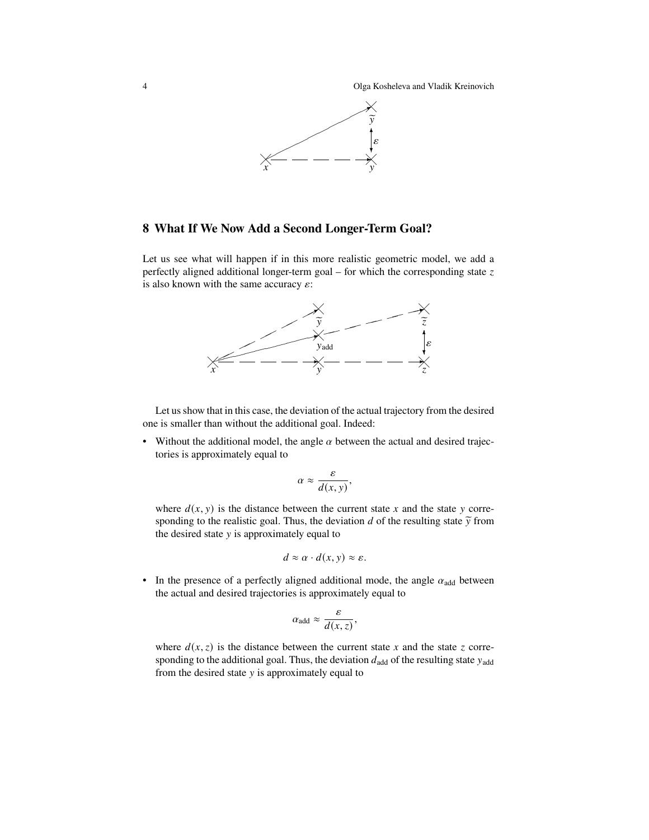4 Olga Kosheleva and Vladik Kreinovich



#### **8 What If We Now Add a Second Longer-Term Goal?**

Let us see what will happen if in this more realistic geometric model, we add a perfectly aligned additional longer-term goal – for which the corresponding state  $z$ is also known with the same accuracy  $\varepsilon$ :



Let us show that in this case, the deviation of the actual trajectory from the desired one is smaller than without the additional goal. Indeed:

• Without the additional model, the angle  $\alpha$  between the actual and desired trajectories is approximately equal to

$$
\alpha \approx \frac{\varepsilon}{d(x, y)},
$$

where  $d(x, y)$  is the distance between the current state x and the state y corresponding to the realistic goal. Thus, the deviation  $d$  of the resulting state  $\tilde{y}$  from the desired state  $y$  is approximately equal to

$$
d \approx \alpha \cdot d(x, y) \approx \varepsilon.
$$

• In the presence of a perfectly aligned additional mode, the angle  $\alpha_{\text{add}}$  between the actual and desired trajectories is approximately equal to

$$
\alpha_{\text{add}} \approx \frac{\varepsilon}{d(x, z)},
$$

where  $d(x, z)$  is the distance between the current state x and the state z corresponding to the additional goal. Thus, the deviation  $d_{\text{add}}$  of the resulting state  $y_{\text{add}}$ from the desired state  $y$  is approximately equal to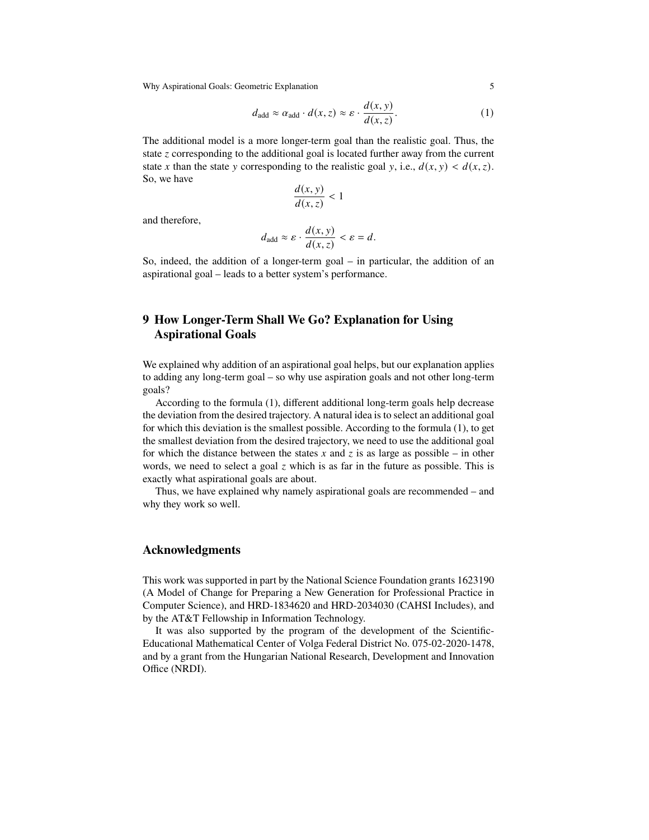Why Aspirational Goals: Geometric Explanation 5

$$
d_{\text{add}} \approx \alpha_{\text{add}} \cdot d(x, z) \approx \varepsilon \cdot \frac{d(x, y)}{d(x, z)}.
$$
 (1)

The additional model is a more longer-term goal than the realistic goal. Thus, the state  $\zeta$  corresponding to the additional goal is located further away from the current state x than the state y corresponding to the realistic goal y, i.e.,  $d(x, y) < d(x, z)$ . So, we have

$$
\frac{d(x, y)}{d(x, z)} < 1
$$

and therefore,

$$
d_{\text{add}} \approx \varepsilon \cdot \frac{d(x, y)}{d(x, z)} < \varepsilon = d.
$$

So, indeed, the addition of a longer-term goal – in particular, the addition of an aspirational goal – leads to a better system's performance.

## **9 How Longer-Term Shall We Go? Explanation for Using Aspirational Goals**

We explained why addition of an aspirational goal helps, but our explanation applies to adding any long-term goal – so why use aspiration goals and not other long-term goals?

According to the formula (1), different additional long-term goals help decrease the deviation from the desired trajectory. A natural idea is to select an additional goal for which this deviation is the smallest possible. According to the formula (1), to get the smallest deviation from the desired trajectory, we need to use the additional goal for which the distance between the states x and z is as large as possible – in other words, we need to select a goal  $\zeta$  which is as far in the future as possible. This is exactly what aspirational goals are about.

Thus, we have explained why namely aspirational goals are recommended – and why they work so well.

#### **Acknowledgments**

This work was supported in part by the National Science Foundation grants 1623190 (A Model of Change for Preparing a New Generation for Professional Practice in Computer Science), and HRD-1834620 and HRD-2034030 (CAHSI Includes), and by the AT&T Fellowship in Information Technology.

It was also supported by the program of the development of the Scientific-Educational Mathematical Center of Volga Federal District No. 075-02-2020-1478, and by a grant from the Hungarian National Research, Development and Innovation Office (NRDI).